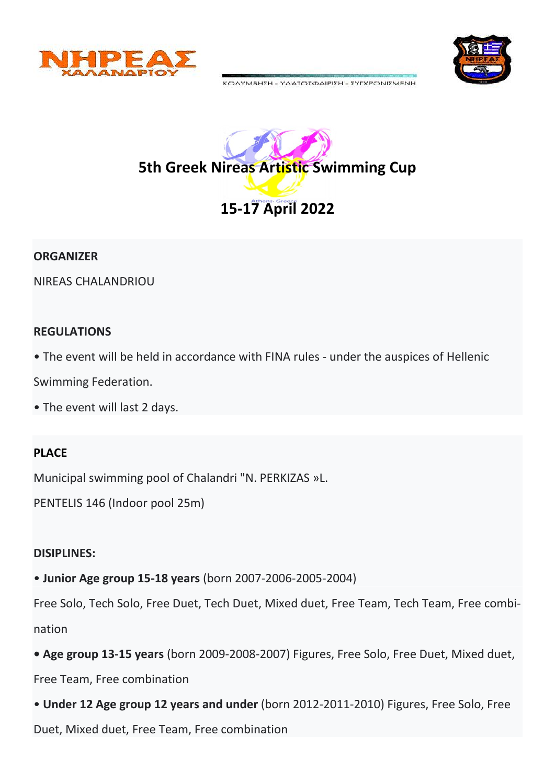



ΚΟΛΥΜΒΗΣΗ - ΥΔΑΤΟΣΦΑΙΡΙΣΗ - ΣΥΓΧΡΟΝΙΣΜΕΝΗ



#### **ORGANIZER**

NIREAS CHALANDRIOU

#### **REGULATIONS**

• The event will be held in accordance with FINA rules - under the auspices of Hellenic

Swimming Federation.

• The event will last 2 days.

## **PLACE**

Municipal swimming pool of Chalandri "N. PERKIZAS »L.

PENTELIS 146 (Indoor pool 25m)

## **DISIPLINES:**

• **Junior Age group 15-18 years** (born 2007-2006-2005-2004)

Free Solo, Tech Solo, Free Duet, Tech Duet, Mixed duet, Free Team, Tech Team, Free combination

**• Age group 13-15 years** (born 2009-2008-2007) Figures, Free Solo, Free Duet, Mixed duet,

Free Team, Free combination

• **Under 12 Age group 12 years and under** (born 2012-2011-2010) Figures, Free Solo, Free

Duet, Mixed duet, Free Team, Free combination